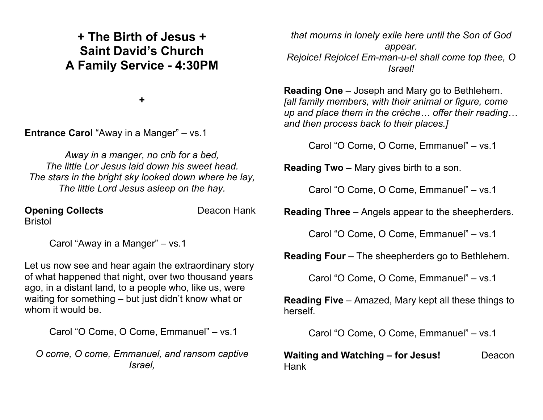## **+ The Birth of Jesus + Saint David's Church A Family Service - 4:30PM**

**+**

**Entrance Carol** "Away in a Manger" – vs.1

*Away in a manger, no crib for a bed, The little Lor Jesus laid down his sweet head. The stars in the bright sky looked down where he lay, The little Lord Jesus asleep on the hay.*

**Opening Collects** Deacon Hank Bristol

Carol "Away in a Manger" – vs.1

Let us now see and hear again the extraordinary story of what happened that night, over two thousand years ago, in a distant land, to a people who, like us, were waiting for something – but just didn't know what or whom it would be.

Carol "O Come, O Come, Emmanuel" – vs.1

*O come, O come, Emmanuel, and ransom captive Israel,*

*that mourns in lonely exile here until the Son of God appear. Rejoice! Rejoice! Em-man-u-el shall come top thee, O Israel!*

**Reading One** – Joseph and Mary go to Bethlehem. *[all family members, with their animal or figure, come up and place them in the crèche… offer their reading… and then process back to their places.]*

Carol "O Come, O Come, Emmanuel" – vs.1

**Reading Two** – Mary gives birth to a son.

Carol "O Come, O Come, Emmanuel" – vs.1

**Reading Three** – Angels appear to the sheepherders.

Carol "O Come, O Come, Emmanuel" – vs.1

**Reading Four** – The sheepherders go to Bethlehem.

Carol "O Come, O Come, Emmanuel" – vs.1

**Reading Five** – Amazed, Mary kept all these things to herself.

Carol "O Come, O Come, Emmanuel" – vs.1

**Waiting and Watching – for Jesus!** Deacon Hank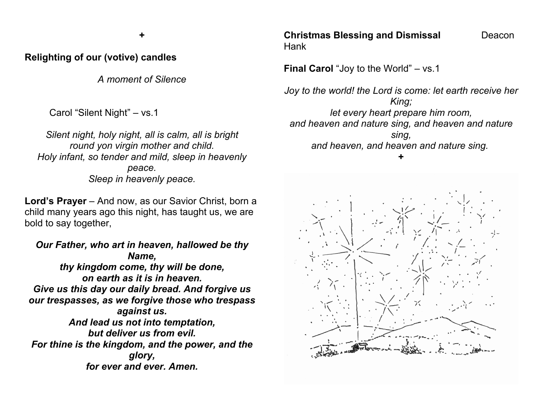**+**

## **Relighting of our (votive) candles**

*A moment of Silence*

Carol "Silent Night" – vs.1

*Silent night, holy night, all is calm, all is bright round yon virgin mother and child. Holy infant, so tender and mild, sleep in heavenly peace. Sleep in heavenly peace.*

Lord's Prayer – And now, as our Savior Christ, born a child many years ago this night, has taught us, we are bold to say together,

*Our Father, who art in heaven, hallowed be thy Name, thy kingdom come, thy will be done, on earth as it is in heaven. Give us this day our daily bread. And forgive us our trespasses, as we forgive those who trespass against us. And lead us not into temptation, but deliver us from evil. For thine is the kingdom, and the power, and the glory, for ever and ever. Amen.*

**Christmas Blessing and Dismissal Deacon** Hank

**Final Carol** "Joy to the World" – vs.1

*Joy to the world! the Lord is come: let earth receive her King; let every heart prepare him room, and heaven and nature sing, and heaven and nature sing, and heaven, and heaven and nature sing.*  **+**